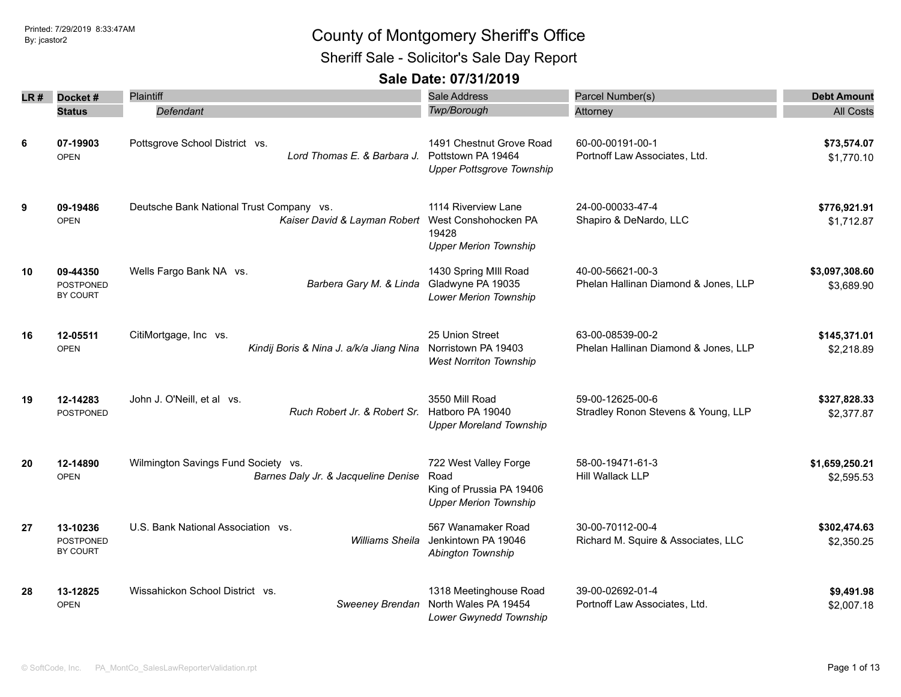Sheriff Sale - Solicitor's Sale Day Report

| LR # | Docket#                                         | Plaintiff                                                                                     | Sale Address                                                                              | Parcel Number(s)                                         | <b>Debt Amount</b>           |
|------|-------------------------------------------------|-----------------------------------------------------------------------------------------------|-------------------------------------------------------------------------------------------|----------------------------------------------------------|------------------------------|
|      | <b>Status</b>                                   | Defendant                                                                                     | Twp/Borough                                                                               | Attorney                                                 | <b>All Costs</b>             |
| 6    | 07-19903<br><b>OPEN</b>                         | Pottsgrove School District vs.<br>Lord Thomas E. & Barbara J.                                 | 1491 Chestnut Grove Road<br>Pottstown PA 19464<br><b>Upper Pottsgrove Township</b>        | 60-00-00191-00-1<br>Portnoff Law Associates, Ltd.        | \$73,574.07<br>\$1,770.10    |
| 9    | 09-19486<br><b>OPEN</b>                         | Deutsche Bank National Trust Company vs.<br>Kaiser David & Layman Robert West Conshohocken PA | 1114 Riverview Lane<br>19428<br><b>Upper Merion Township</b>                              | 24-00-00033-47-4<br>Shapiro & DeNardo, LLC               | \$776,921.91<br>\$1,712.87   |
| 10   | 09-44350<br><b>POSTPONED</b><br>BY COURT        | Wells Fargo Bank NA vs.<br>Barbera Gary M. & Linda                                            | 1430 Spring MIII Road<br>Gladwyne PA 19035<br>Lower Merion Township                       | 40-00-56621-00-3<br>Phelan Hallinan Diamond & Jones, LLP | \$3,097,308.60<br>\$3,689.90 |
| 16   | 12-05511<br><b>OPEN</b>                         | CitiMortgage, Inc vs.<br>Kindij Boris & Nina J. a/k/a Jiang Nina                              | 25 Union Street<br>Norristown PA 19403<br><b>West Norriton Township</b>                   | 63-00-08539-00-2<br>Phelan Hallinan Diamond & Jones, LLP | \$145,371.01<br>\$2,218.89   |
| 19   | 12-14283<br>POSTPONED                           | John J. O'Neill, et al vs.<br>Ruch Robert Jr. & Robert Sr.                                    | 3550 Mill Road<br>Hatboro PA 19040<br><b>Upper Moreland Township</b>                      | 59-00-12625-00-6<br>Stradley Ronon Stevens & Young, LLP  | \$327,828.33<br>\$2,377.87   |
| 20   | 12-14890<br><b>OPEN</b>                         | Wilmington Savings Fund Society vs.<br>Barnes Daly Jr. & Jacqueline Denise                    | 722 West Valley Forge<br>Road<br>King of Prussia PA 19406<br><b>Upper Merion Township</b> | 58-00-19471-61-3<br>Hill Wallack LLP                     | \$1,659,250.21<br>\$2,595.53 |
| 27   | 13-10236<br><b>POSTPONED</b><br><b>BY COURT</b> | U.S. Bank National Association vs.<br>Williams Sheila                                         | 567 Wanamaker Road<br>Jenkintown PA 19046<br>Abington Township                            | 30-00-70112-00-4<br>Richard M. Squire & Associates, LLC  | \$302,474.63<br>\$2,350.25   |
| 28   | 13-12825<br><b>OPEN</b>                         | Wissahickon School District vs.<br>Sweeney Brendan                                            | 1318 Meetinghouse Road<br>North Wales PA 19454<br>Lower Gwynedd Township                  | 39-00-02692-01-4<br>Portnoff Law Associates, Ltd.        | \$9,491.98<br>\$2,007.18     |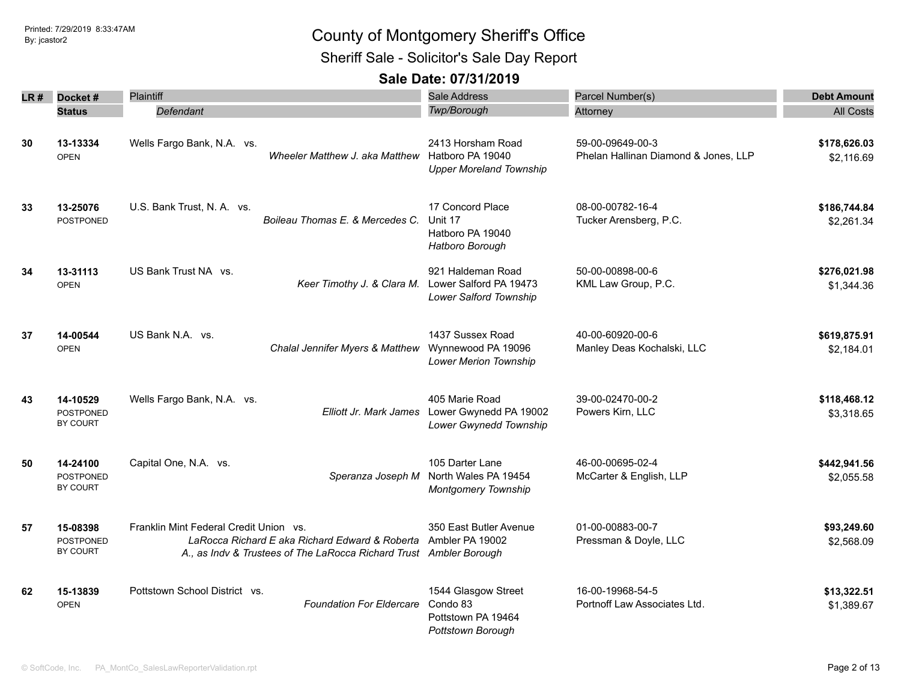Sheriff Sale - Solicitor's Sale Day Report

| LR # | Docket#                                         | Plaintiff                                                                                                                                                                      | <b>Sale Address</b>                                                        | Parcel Number(s)                                         | <b>Debt Amount</b>         |
|------|-------------------------------------------------|--------------------------------------------------------------------------------------------------------------------------------------------------------------------------------|----------------------------------------------------------------------------|----------------------------------------------------------|----------------------------|
|      | <b>Status</b>                                   | Defendant                                                                                                                                                                      | Twp/Borough                                                                | Attorney                                                 | <b>All Costs</b>           |
| 30   | 13-13334<br><b>OPEN</b>                         | Wells Fargo Bank, N.A. vs.<br>Wheeler Matthew J. aka Matthew                                                                                                                   | 2413 Horsham Road<br>Hatboro PA 19040<br><b>Upper Moreland Township</b>    | 59-00-09649-00-3<br>Phelan Hallinan Diamond & Jones, LLP | \$178,626.03<br>\$2,116.69 |
| 33   | 13-25076<br><b>POSTPONED</b>                    | U.S. Bank Trust, N. A. vs.<br>Boileau Thomas E. & Mercedes C.                                                                                                                  | 17 Concord Place<br>Unit 17<br>Hatboro PA 19040<br>Hatboro Borough         | 08-00-00782-16-4<br>Tucker Arensberg, P.C.               | \$186,744.84<br>\$2,261.34 |
| 34   | 13-31113<br><b>OPEN</b>                         | US Bank Trust NA vs.<br>Keer Timothy J. & Clara M. Lower Salford PA 19473                                                                                                      | 921 Haldeman Road<br>Lower Salford Township                                | 50-00-00898-00-6<br>KML Law Group, P.C.                  | \$276,021.98<br>\$1,344.36 |
| 37   | 14-00544<br><b>OPEN</b>                         | US Bank N.A. vs.<br>Chalal Jennifer Myers & Matthew                                                                                                                            | 1437 Sussex Road<br>Wynnewood PA 19096<br><b>Lower Merion Township</b>     | 40-00-60920-00-6<br>Manley Deas Kochalski, LLC           | \$619,875.91<br>\$2.184.01 |
| 43   | 14-10529<br><b>POSTPONED</b><br><b>BY COURT</b> | Wells Fargo Bank, N.A. vs.<br>Elliott Jr. Mark James                                                                                                                           | 405 Marie Road<br>Lower Gwynedd PA 19002<br>Lower Gwynedd Township         | 39-00-02470-00-2<br>Powers Kirn, LLC                     | \$118,468.12<br>\$3,318.65 |
| 50   | 14-24100<br><b>POSTPONED</b><br><b>BY COURT</b> | Capital One, N.A. vs.<br>Speranza Joseph M                                                                                                                                     | 105 Darter Lane<br>North Wales PA 19454<br><b>Montgomery Township</b>      | 46-00-00695-02-4<br>McCarter & English, LLP              | \$442,941.56<br>\$2,055.58 |
| 57   | 15-08398<br>POSTPONED<br>BY COURT               | Franklin Mint Federal Credit Union vs.<br>LaRocca Richard E aka Richard Edward & Roberta Ambler PA 19002<br>A., as Indv & Trustees of The LaRocca Richard Trust Ambler Borough | 350 East Butler Avenue                                                     | 01-00-00883-00-7<br>Pressman & Doyle, LLC                | \$93,249.60<br>\$2,568.09  |
| 62   | 15-13839<br><b>OPEN</b>                         | Pottstown School District vs.<br><b>Foundation For Eldercare</b>                                                                                                               | 1544 Glasgow Street<br>Condo 83<br>Pottstown PA 19464<br>Pottstown Borough | 16-00-19968-54-5<br>Portnoff Law Associates Ltd.         | \$13,322.51<br>\$1,389.67  |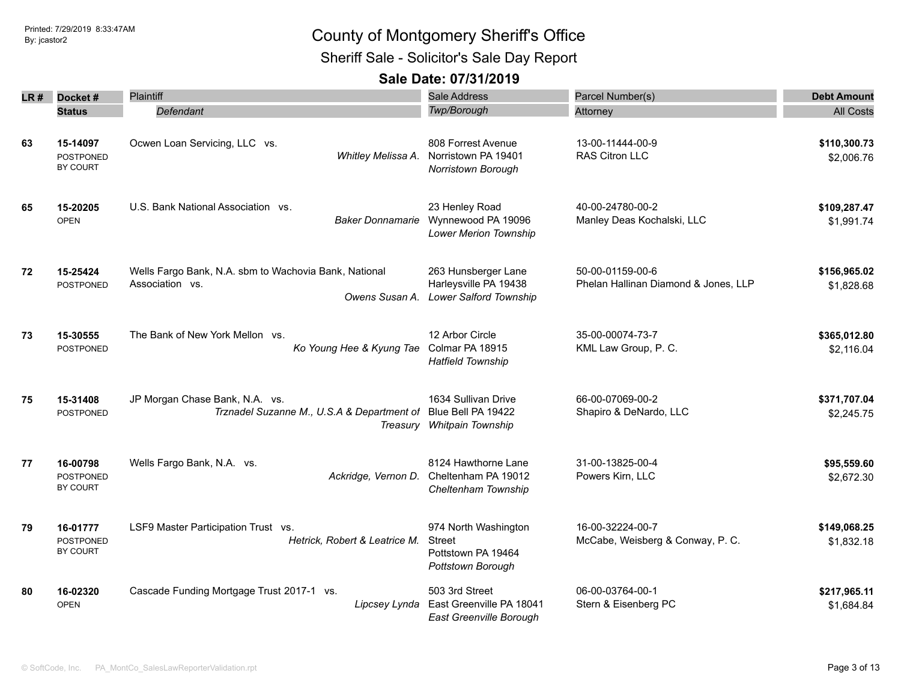Sheriff Sale - Solicitor's Sale Day Report

| LR # | Docket#                                  | <b>Plaintiff</b>                                                                                | Sale Address                                                                          | Parcel Number(s)                                         | <b>Debt Amount</b>         |
|------|------------------------------------------|-------------------------------------------------------------------------------------------------|---------------------------------------------------------------------------------------|----------------------------------------------------------|----------------------------|
|      | <b>Status</b>                            | Defendant                                                                                       | Twp/Borough                                                                           | Attorney                                                 | <b>All Costs</b>           |
| 63   | 15-14097<br><b>POSTPONED</b><br>BY COURT | Ocwen Loan Servicing, LLC vs.<br>Whitley Melissa A.                                             | 808 Forrest Avenue<br>Norristown PA 19401<br>Norristown Borough                       | 13-00-11444-00-9<br>RAS Citron LLC                       | \$110,300.73<br>\$2,006.76 |
| 65   | 15-20205<br><b>OPEN</b>                  | U.S. Bank National Association vs.                                                              | 23 Henley Road<br>Baker Donnamarie Wynnewood PA 19096<br><b>Lower Merion Township</b> | 40-00-24780-00-2<br>Manley Deas Kochalski, LLC           | \$109,287.47<br>\$1,991.74 |
| 72   | 15-25424<br><b>POSTPONED</b>             | Wells Fargo Bank, N.A. sbm to Wachovia Bank, National<br>Association vs.<br>Owens Susan A.      | 263 Hunsberger Lane<br>Harleysville PA 19438<br><b>Lower Salford Township</b>         | 50-00-01159-00-6<br>Phelan Hallinan Diamond & Jones, LLP | \$156,965.02<br>\$1,828.68 |
| 73   | 15-30555<br><b>POSTPONED</b>             | The Bank of New York Mellon vs.<br>Ko Young Hee & Kyung Tae                                     | 12 Arbor Circle<br>Colmar PA 18915<br><b>Hatfield Township</b>                        | 35-00-00074-73-7<br>KML Law Group, P. C.                 | \$365,012.80<br>\$2,116.04 |
| 75   | 15-31408<br><b>POSTPONED</b>             | JP Morgan Chase Bank, N.A. vs.<br>Trznadel Suzanne M., U.S.A & Department of Blue Bell PA 19422 | 1634 Sullivan Drive<br>Treasury Whitpain Township                                     | 66-00-07069-00-2<br>Shapiro & DeNardo, LLC               | \$371,707.04<br>\$2,245.75 |
| 77   | 16-00798<br><b>POSTPONED</b><br>BY COURT | Wells Fargo Bank, N.A. vs.<br>Ackridge, Vernon D.                                               | 8124 Hawthorne Lane<br>Cheltenham PA 19012<br>Cheltenham Township                     | 31-00-13825-00-4<br>Powers Kirn, LLC                     | \$95,559.60<br>\$2,672.30  |
| 79   | 16-01777<br><b>POSTPONED</b><br>BY COURT | LSF9 Master Participation Trust vs.<br>Hetrick, Robert & Leatrice M.                            | 974 North Washington<br>Street<br>Pottstown PA 19464<br>Pottstown Borough             | 16-00-32224-00-7<br>McCabe, Weisberg & Conway, P. C.     | \$149,068.25<br>\$1,832.18 |
| 80   | 16-02320<br><b>OPEN</b>                  | Cascade Funding Mortgage Trust 2017-1 vs.<br>Lipcsey Lynda                                      | 503 3rd Street<br>East Greenville PA 18041<br>East Greenville Borough                 | 06-00-03764-00-1<br>Stern & Eisenberg PC                 | \$217,965.11<br>\$1,684.84 |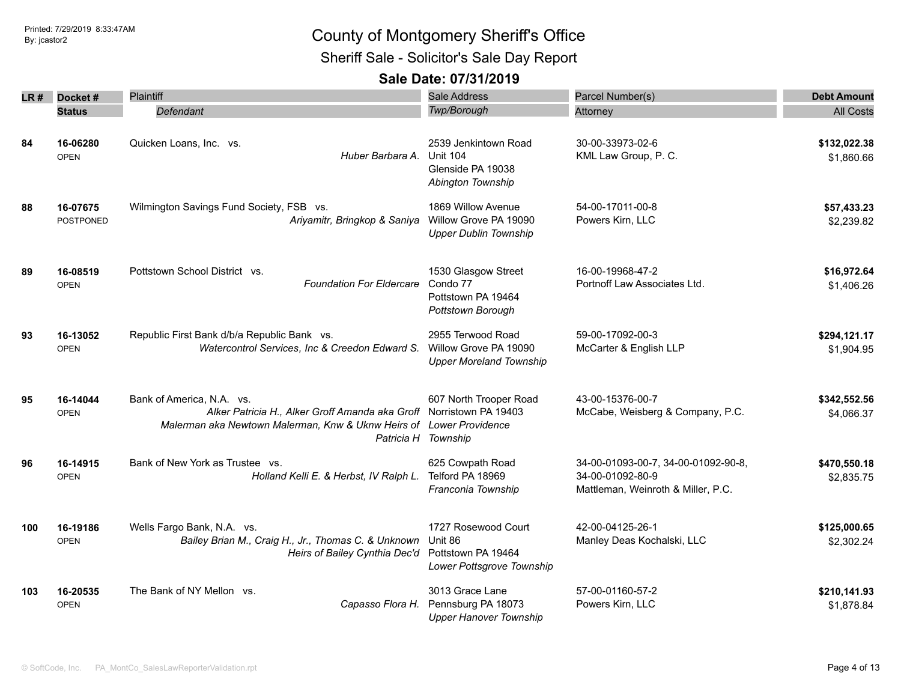Sheriff Sale - Solicitor's Sale Day Report

| LR # | Docket#                      | Plaintiff                                                                                                                                                               | Sale Address                                                                      | Parcel Number(s)                                                                              | <b>Debt Amount</b>         |
|------|------------------------------|-------------------------------------------------------------------------------------------------------------------------------------------------------------------------|-----------------------------------------------------------------------------------|-----------------------------------------------------------------------------------------------|----------------------------|
|      | <b>Status</b>                | Defendant                                                                                                                                                               | Twp/Borough                                                                       | Attorney                                                                                      | <b>All Costs</b>           |
| 84   | 16-06280<br><b>OPEN</b>      | Quicken Loans, Inc. vs.<br>Huber Barbara A.                                                                                                                             | 2539 Jenkintown Road<br><b>Unit 104</b>                                           | 30-00-33973-02-6<br>KML Law Group, P. C.                                                      | \$132,022.38<br>\$1,860.66 |
|      |                              |                                                                                                                                                                         | Glenside PA 19038<br>Abington Township                                            |                                                                                               |                            |
| 88   | 16-07675<br><b>POSTPONED</b> | Wilmington Savings Fund Society, FSB vs.<br>Ariyamitr, Bringkop & Saniya                                                                                                | 1869 Willow Avenue<br>Willow Grove PA 19090<br><b>Upper Dublin Township</b>       | 54-00-17011-00-8<br>Powers Kirn, LLC                                                          | \$57,433.23<br>\$2,239.82  |
| 89   | 16-08519<br><b>OPEN</b>      | Pottstown School District vs.<br><b>Foundation For Eldercare</b>                                                                                                        | 1530 Glasgow Street<br>Condo 77<br>Pottstown PA 19464<br>Pottstown Borough        | 16-00-19968-47-2<br>Portnoff Law Associates Ltd.                                              | \$16,972.64<br>\$1,406.26  |
| 93   | 16-13052<br><b>OPEN</b>      | Republic First Bank d/b/a Republic Bank vs.<br>Watercontrol Services, Inc & Creedon Edward S.                                                                           | 2955 Terwood Road<br>Willow Grove PA 19090<br><b>Upper Moreland Township</b>      | 59-00-17092-00-3<br>McCarter & English LLP                                                    | \$294,121.17<br>\$1,904.95 |
| 95   | 16-14044<br><b>OPEN</b>      | Bank of America, N.A. vs.<br>Alker Patricia H., Alker Groff Amanda aka Groff Norristown PA 19403<br>Malerman aka Newtown Malerman, Knw & Uknw Heirs of Lower Providence | 607 North Trooper Road<br>Patricia H Township                                     | 43-00-15376-00-7<br>McCabe, Weisberg & Company, P.C.                                          | \$342,552.56<br>\$4,066.37 |
| 96   | 16-14915<br><b>OPEN</b>      | Bank of New York as Trustee vs.<br>Holland Kelli E. & Herbst, IV Ralph L.                                                                                               | 625 Cowpath Road<br>Telford PA 18969<br>Franconia Township                        | 34-00-01093-00-7, 34-00-01092-90-8,<br>34-00-01092-80-9<br>Mattleman, Weinroth & Miller, P.C. | \$470,550.18<br>\$2,835.75 |
| 100  | 16-19186<br><b>OPEN</b>      | Wells Fargo Bank, N.A. vs.<br>Bailey Brian M., Craig H., Jr., Thomas C. & Unknown<br>Heirs of Bailey Cynthia Dec'd                                                      | 1727 Rosewood Court<br>Unit 86<br>Pottstown PA 19464<br>Lower Pottsgrove Township | 42-00-04125-26-1<br>Manley Deas Kochalski, LLC                                                | \$125,000.65<br>\$2,302.24 |
| 103  | 16-20535<br><b>OPEN</b>      | The Bank of NY Mellon vs.<br>Capasso Flora H.                                                                                                                           | 3013 Grace Lane<br>Pennsburg PA 18073<br><b>Upper Hanover Township</b>            | 57-00-01160-57-2<br>Powers Kirn, LLC                                                          | \$210,141.93<br>\$1,878.84 |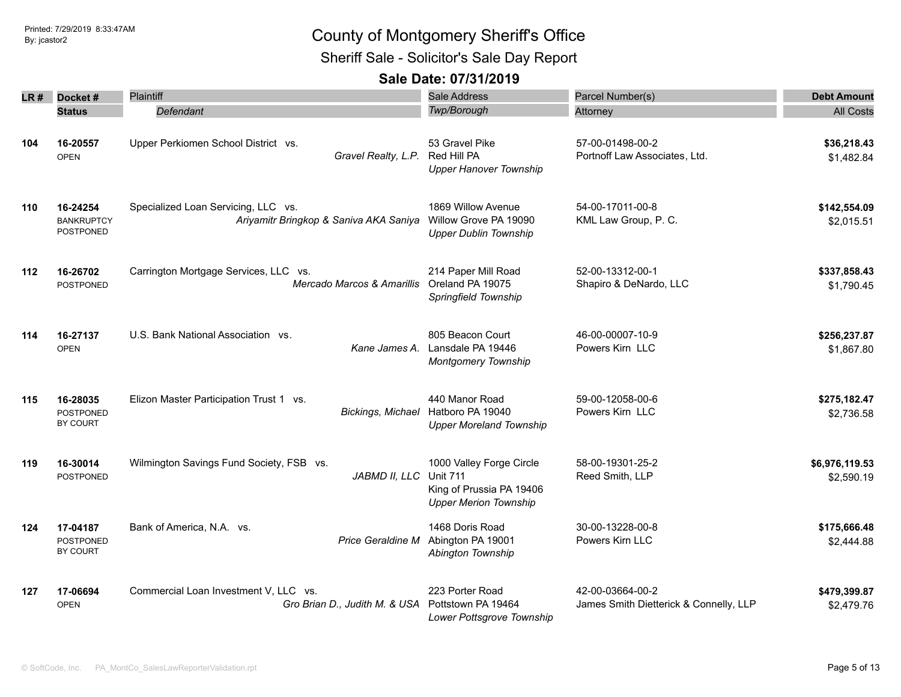Sheriff Sale - Solicitor's Sale Day Report

|      |                                            | Plaintiff                                                                                           | Sale Address                                                                                            | Parcel Number(s)                                           | <b>Debt Amount</b>           |
|------|--------------------------------------------|-----------------------------------------------------------------------------------------------------|---------------------------------------------------------------------------------------------------------|------------------------------------------------------------|------------------------------|
| LR # | Docket#                                    |                                                                                                     | Twp/Borough                                                                                             |                                                            |                              |
|      | <b>Status</b>                              | Defendant                                                                                           |                                                                                                         | Attorney                                                   | <b>All Costs</b>             |
| 104  | 16-20557<br><b>OPEN</b>                    | Upper Perkiomen School District vs.<br>Gravel Realty, L.P.                                          | 53 Gravel Pike<br>Red Hill PA<br><b>Upper Hanover Township</b>                                          | 57-00-01498-00-2<br>Portnoff Law Associates, Ltd.          | \$36,218.43<br>\$1,482.84    |
| 110  | 16-24254<br><b>BANKRUPTCY</b><br>POSTPONED | Specialized Loan Servicing, LLC vs.<br>Ariyamitr Bringkop & Saniva AKA Saniya Willow Grove PA 19090 | 1869 Willow Avenue<br><b>Upper Dublin Township</b>                                                      | 54-00-17011-00-8<br>KML Law Group, P. C.                   | \$142,554.09<br>\$2,015.51   |
| 112  | 16-26702<br><b>POSTPONED</b>               | Carrington Mortgage Services, LLC vs.<br>Mercado Marcos & Amarillis                                 | 214 Paper Mill Road<br>Oreland PA 19075<br>Springfield Township                                         | 52-00-13312-00-1<br>Shapiro & DeNardo, LLC                 | \$337,858.43<br>\$1,790.45   |
| 114  | 16-27137<br><b>OPEN</b>                    | U.S. Bank National Association vs.<br>Kane James A.                                                 | 805 Beacon Court<br>Lansdale PA 19446<br>Montgomery Township                                            | 46-00-00007-10-9<br>Powers Kirn LLC                        | \$256,237.87<br>\$1,867.80   |
| 115  | 16-28035<br>POSTPONED<br>BY COURT          | Elizon Master Participation Trust 1 vs.<br><b>Bickings, Michael</b>                                 | 440 Manor Road<br>Hatboro PA 19040<br><b>Upper Moreland Township</b>                                    | 59-00-12058-00-6<br>Powers Kirn LLC                        | \$275,182.47<br>\$2,736.58   |
| 119  | 16-30014<br><b>POSTPONED</b>               | Wilmington Savings Fund Society, FSB vs.<br>JABMD II, LLC                                           | 1000 Valley Forge Circle<br><b>Unit 711</b><br>King of Prussia PA 19406<br><b>Upper Merion Township</b> | 58-00-19301-25-2<br>Reed Smith, LLP                        | \$6,976,119.53<br>\$2,590.19 |
| 124  | 17-04187<br><b>POSTPONED</b><br>BY COURT   | Bank of America, N.A. vs.<br>Price Geraldine M                                                      | 1468 Doris Road<br>Abington PA 19001<br>Abington Township                                               | 30-00-13228-00-8<br>Powers Kirn LLC                        | \$175,666.48<br>\$2,444.88   |
| 127  | 17-06694<br><b>OPEN</b>                    | Commercial Loan Investment V, LLC vs.<br>Gro Brian D., Judith M. & USA                              | 223 Porter Road<br>Pottstown PA 19464<br>Lower Pottsgrove Township                                      | 42-00-03664-00-2<br>James Smith Dietterick & Connelly, LLP | \$479,399.87<br>\$2,479.76   |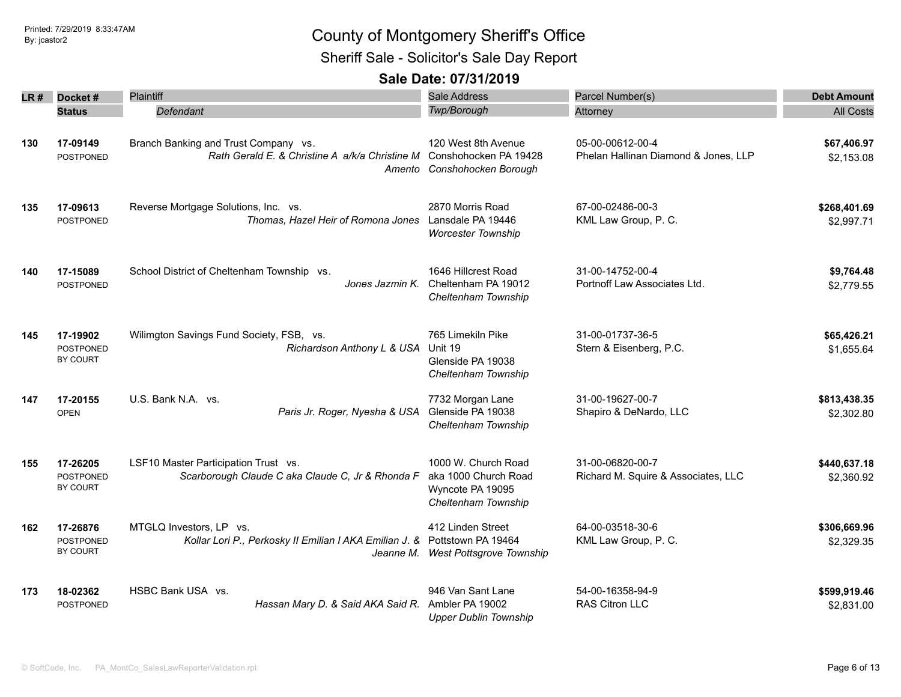Sheriff Sale - Solicitor's Sale Day Report

| LR # | Docket#                                         | Plaintiff                                                                                                    | <b>Sale Address</b>                                                                    | Parcel Number(s)                                         | <b>Debt Amount</b>         |
|------|-------------------------------------------------|--------------------------------------------------------------------------------------------------------------|----------------------------------------------------------------------------------------|----------------------------------------------------------|----------------------------|
|      | <b>Status</b>                                   | Defendant                                                                                                    | Twp/Borough                                                                            | Attorney                                                 | <b>All Costs</b>           |
| 130  | 17-09149<br>POSTPONED                           | Branch Banking and Trust Company vs.<br>Rath Gerald E. & Christine A a/k/a Christine M Conshohocken PA 19428 | 120 West 8th Avenue<br>Amento Conshohocken Borough                                     | 05-00-00612-00-4<br>Phelan Hallinan Diamond & Jones, LLP | \$67,406.97<br>\$2,153.08  |
| 135  | 17-09613<br><b>POSTPONED</b>                    | Reverse Mortgage Solutions, Inc. vs.<br>Thomas, Hazel Heir of Romona Jones                                   | 2870 Morris Road<br>Lansdale PA 19446<br><b>Worcester Township</b>                     | 67-00-02486-00-3<br>KML Law Group, P. C.                 | \$268,401.69<br>\$2,997.71 |
| 140  | 17-15089<br>POSTPONED                           | School District of Cheltenham Township vs.<br>Jones Jazmin K.                                                | 1646 Hillcrest Road<br>Cheltenham PA 19012<br>Cheltenham Township                      | 31-00-14752-00-4<br>Portnoff Law Associates Ltd.         | \$9,764.48<br>\$2,779.55   |
| 145  | 17-19902<br><b>POSTPONED</b><br>BY COURT        | Wilimgton Savings Fund Society, FSB, vs.<br>Richardson Anthony L & USA                                       | 765 Limekiln Pike<br>Unit 19<br>Glenside PA 19038<br>Cheltenham Township               | 31-00-01737-36-5<br>Stern & Eisenberg, P.C.              | \$65,426.21<br>\$1,655.64  |
| 147  | 17-20155<br><b>OPEN</b>                         | U.S. Bank N.A. vs.<br>Paris Jr. Roger, Nyesha & USA                                                          | 7732 Morgan Lane<br>Glenside PA 19038<br>Cheltenham Township                           | 31-00-19627-00-7<br>Shapiro & DeNardo, LLC               | \$813,438.35<br>\$2,302.80 |
| 155  | 17-26205<br><b>POSTPONED</b><br><b>BY COURT</b> | LSF10 Master Participation Trust vs.<br>Scarborough Claude C aka Claude C, Jr & Rhonda F                     | 1000 W. Church Road<br>aka 1000 Church Road<br>Wyncote PA 19095<br>Cheltenham Township | 31-00-06820-00-7<br>Richard M. Squire & Associates, LLC  | \$440,637.18<br>\$2,360.92 |
| 162  | 17-26876<br><b>POSTPONED</b><br>BY COURT        | MTGLQ Investors, LP vs.<br>Kollar Lori P., Perkosky II Emilian I AKA Emilian J. & Pottstown PA 19464         | 412 Linden Street<br>Jeanne M. West Pottsgrove Township                                | 64-00-03518-30-6<br>KML Law Group, P. C.                 | \$306,669.96<br>\$2,329.35 |
| 173  | 18-02362<br><b>POSTPONED</b>                    | HSBC Bank USA vs.<br>Hassan Mary D. & Said AKA Said R.                                                       | 946 Van Sant Lane<br>Ambler PA 19002<br><b>Upper Dublin Township</b>                   | 54-00-16358-94-9<br>RAS Citron LLC                       | \$599,919.46<br>\$2,831.00 |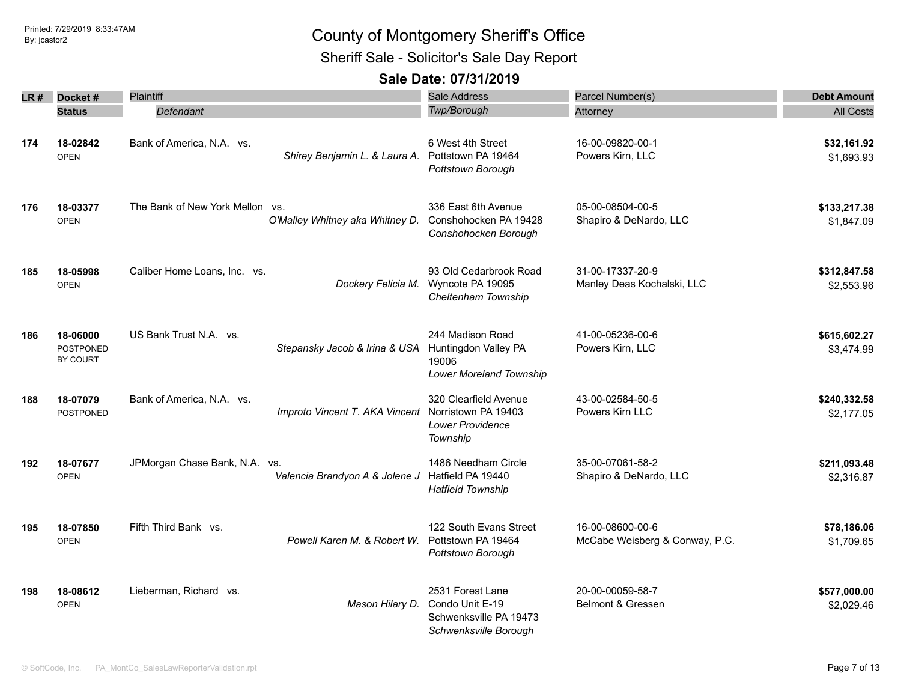Sheriff Sale - Solicitor's Sale Day Report

| LR# | Docket#                           | <b>Plaintiff</b>                |                                 | Sale Address                                                                           | Parcel Number(s)                                   | <b>Debt Amount</b>         |
|-----|-----------------------------------|---------------------------------|---------------------------------|----------------------------------------------------------------------------------------|----------------------------------------------------|----------------------------|
|     | <b>Status</b>                     | Defendant                       |                                 | <b>Twp/Borough</b>                                                                     | Attorney                                           | <b>All Costs</b>           |
| 174 | 18-02842<br><b>OPEN</b>           | Bank of America, N.A. vs.       | Shirey Benjamin L. & Laura A.   | 6 West 4th Street<br>Pottstown PA 19464<br>Pottstown Borough                           | 16-00-09820-00-1<br>Powers Kirn, LLC               | \$32,161.92<br>\$1,693.93  |
| 176 | 18-03377<br><b>OPEN</b>           | The Bank of New York Mellon vs. | O'Malley Whitney aka Whitney D. | 336 East 6th Avenue<br>Conshohocken PA 19428<br>Conshohocken Borough                   | 05-00-08504-00-5<br>Shapiro & DeNardo, LLC         | \$133,217.38<br>\$1,847.09 |
| 185 | 18-05998<br><b>OPEN</b>           | Caliber Home Loans, Inc. vs.    | Dockery Felicia M.              | 93 Old Cedarbrook Road<br>Wyncote PA 19095<br>Cheltenham Township                      | 31-00-17337-20-9<br>Manley Deas Kochalski, LLC     | \$312,847.58<br>\$2,553.96 |
| 186 | 18-06000<br>POSTPONED<br>BY COURT | US Bank Trust N.A. vs.          | Stepansky Jacob & Irina & USA   | 244 Madison Road<br>Huntingdon Valley PA<br>19006<br>Lower Moreland Township           | 41-00-05236-00-6<br>Powers Kirn, LLC               | \$615,602.27<br>\$3,474.99 |
| 188 | 18-07079<br><b>POSTPONED</b>      | Bank of America, N.A. vs.       | Improto Vincent T. AKA Vincent  | 320 Clearfield Avenue<br>Norristown PA 19403<br><b>Lower Providence</b><br>Township    | 43-00-02584-50-5<br>Powers Kirn LLC                | \$240,332.58<br>\$2,177.05 |
| 192 | 18-07677<br><b>OPEN</b>           | JPMorgan Chase Bank, N.A. vs.   | Valencia Brandyon A & Jolene J  | 1486 Needham Circle<br>Hatfield PA 19440<br><b>Hatfield Township</b>                   | 35-00-07061-58-2<br>Shapiro & DeNardo, LLC         | \$211,093.48<br>\$2,316.87 |
| 195 | 18-07850<br><b>OPEN</b>           | Fifth Third Bank vs.            | Powell Karen M. & Robert W.     | 122 South Evans Street<br>Pottstown PA 19464<br>Pottstown Borough                      | 16-00-08600-00-6<br>McCabe Weisberg & Conway, P.C. | \$78,186.06<br>\$1,709.65  |
| 198 | 18-08612<br><b>OPEN</b>           | Lieberman, Richard vs.          | Mason Hilary D.                 | 2531 Forest Lane<br>Condo Unit E-19<br>Schwenksville PA 19473<br>Schwenksville Borough | 20-00-00059-58-7<br>Belmont & Gressen              | \$577,000.00<br>\$2,029.46 |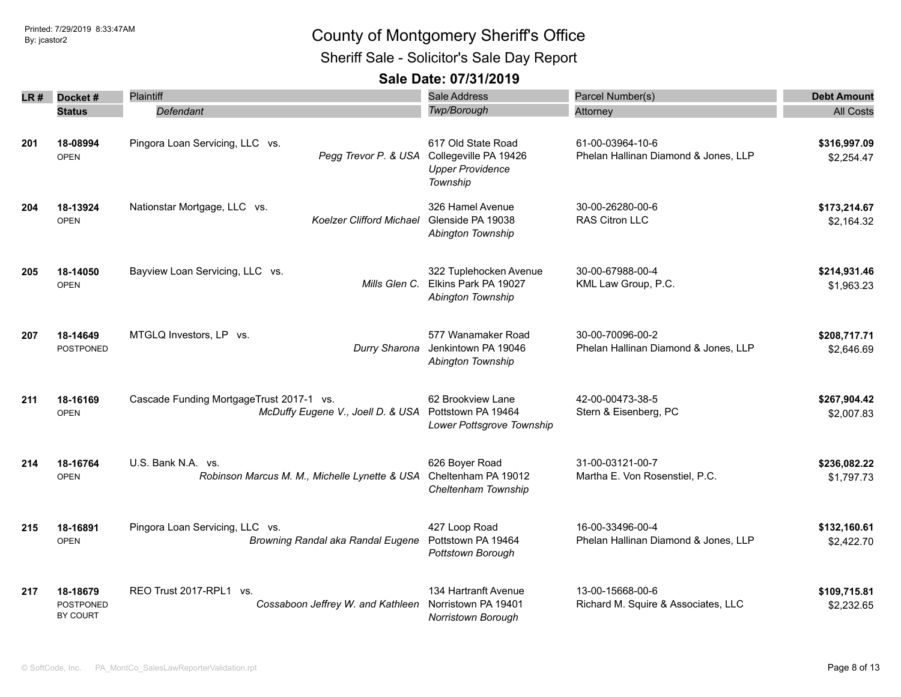Sheriff Sale - Solicitor's Sale Day Report

| LR # | Docket#                                  | <b>Plaintiff</b>                                                              | Sale Address                                                                       | Parcel Number(s)                                         | <b>Debt Amount</b>         |
|------|------------------------------------------|-------------------------------------------------------------------------------|------------------------------------------------------------------------------------|----------------------------------------------------------|----------------------------|
|      | <b>Status</b>                            | Defendant                                                                     | Twp/Borough                                                                        | Attorney                                                 | <b>All Costs</b>           |
| 201  | 18-08994<br><b>OPEN</b>                  | Pingora Loan Servicing, LLC vs.<br>Pegg Trevor P. & USA                       | 617 Old State Road<br>Collegeville PA 19426<br><b>Upper Providence</b><br>Township | 61-00-03964-10-6<br>Phelan Hallinan Diamond & Jones, LLP | \$316,997.09<br>\$2,254.47 |
| 204  | 18-13924<br><b>OPEN</b>                  | Nationstar Mortgage, LLC vs.<br>Koelzer Clifford Michael                      | 326 Hamel Avenue<br>Glenside PA 19038<br>Abington Township                         | 30-00-26280-00-6<br>RAS Citron LLC                       | \$173,214.67<br>\$2,164.32 |
| 205  | 18-14050<br><b>OPEN</b>                  | Bayview Loan Servicing, LLC vs.<br>Mills Glen C.                              | 322 Tuplehocken Avenue<br>Elkins Park PA 19027<br>Abington Township                | 30-00-67988-00-4<br>KML Law Group, P.C.                  | \$214,931.46<br>\$1,963.23 |
| 207  | 18-14649<br><b>POSTPONED</b>             | MTGLQ Investors, LP vs.<br>Durry Sharona                                      | 577 Wanamaker Road<br>Jenkintown PA 19046<br>Abington Township                     | 30-00-70096-00-2<br>Phelan Hallinan Diamond & Jones, LLP | \$208,717.71<br>\$2,646.69 |
| 211  | 18-16169<br><b>OPEN</b>                  | Cascade Funding MortgageTrust 2017-1 vs.<br>McDuffy Eugene V., Joell D. & USA | 62 Brookview Lane<br>Pottstown PA 19464<br>Lower Pottsgrove Township               | 42-00-00473-38-5<br>Stern & Eisenberg, PC                | \$267,904.42<br>\$2,007.83 |
| 214  | 18-16764<br><b>OPEN</b>                  | U.S. Bank N.A. vs.<br>Robinson Marcus M. M., Michelle Lynette & USA           | 626 Boyer Road<br>Cheltenham PA 19012<br>Cheltenham Township                       | 31-00-03121-00-7<br>Martha E. Von Rosenstiel, P.C.       | \$236,082.22<br>\$1,797.73 |
| 215  | 18-16891<br><b>OPEN</b>                  | Pingora Loan Servicing, LLC vs.<br>Browning Randal aka Randal Eugene          | 427 Loop Road<br>Pottstown PA 19464<br>Pottstown Borough                           | 16-00-33496-00-4<br>Phelan Hallinan Diamond & Jones, LLP | \$132,160.61<br>\$2,422.70 |
| 217  | 18-18679<br><b>POSTPONED</b><br>BY COURT | REO Trust 2017-RPL1 vs.<br>Cossaboon Jeffrey W. and Kathleen                  | 134 Hartranft Avenue<br>Norristown PA 19401<br><b>Norristown Borough</b>           | 13-00-15668-00-6<br>Richard M. Squire & Associates, LLC  | \$109,715.81<br>\$2,232.65 |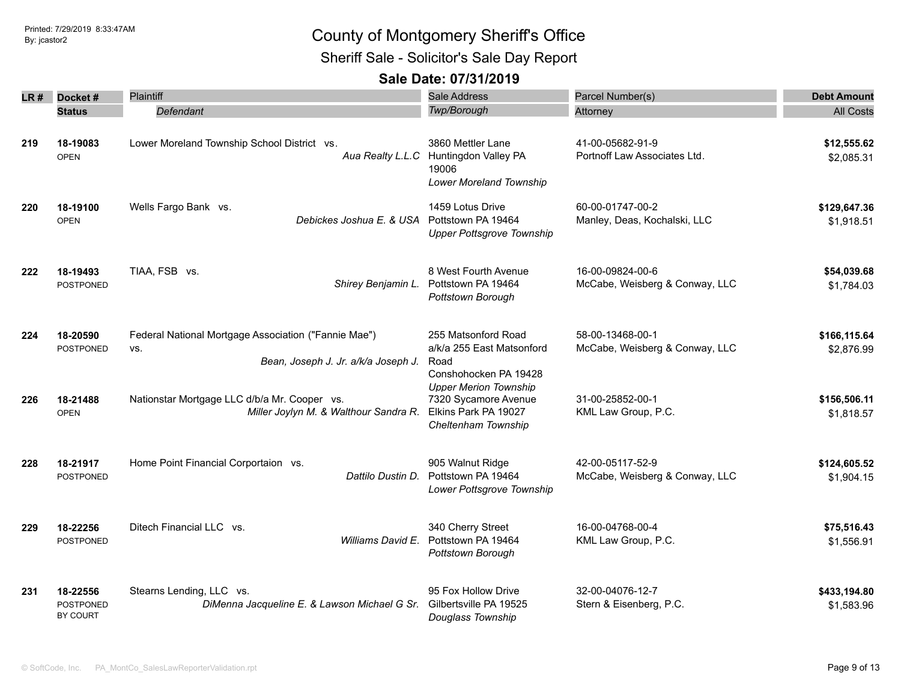Sheriff Sale - Solicitor's Sale Day Report

|     | $LR#$ Docket#                     | Plaintiff                                                                                          | Sale Address                                                                                        | Parcel Number(s)                                   | <b>Debt Amount</b>         |
|-----|-----------------------------------|----------------------------------------------------------------------------------------------------|-----------------------------------------------------------------------------------------------------|----------------------------------------------------|----------------------------|
|     | <b>Status</b>                     | Defendant                                                                                          | Twp/Borough                                                                                         | Attorney                                           | <b>All Costs</b>           |
| 219 | 18-19083<br><b>OPEN</b>           | Lower Moreland Township School District vs.                                                        | 3860 Mettler Lane<br>Aua Realty L.L.C Huntingdon Valley PA<br>19006<br>Lower Moreland Township      | 41-00-05682-91-9<br>Portnoff Law Associates Ltd.   | \$12,555.62<br>\$2,085.31  |
| 220 | 18-19100<br><b>OPEN</b>           | Wells Fargo Bank vs.<br>Debickes Joshua E. & USA                                                   | 1459 Lotus Drive<br>Pottstown PA 19464<br><b>Upper Pottsgrove Township</b>                          | 60-00-01747-00-2<br>Manley, Deas, Kochalski, LLC   | \$129,647.36<br>\$1,918.51 |
| 222 | 18-19493<br><b>POSTPONED</b>      | TIAA, FSB vs.<br>Shirey Benjamin L.                                                                | 8 West Fourth Avenue<br>Pottstown PA 19464<br>Pottstown Borough                                     | 16-00-09824-00-6<br>McCabe, Weisberg & Conway, LLC | \$54,039.68<br>\$1,784.03  |
| 224 | 18-20590<br><b>POSTPONED</b>      | Federal National Mortgage Association ("Fannie Mae")<br>VS.<br>Bean, Joseph J. Jr. a/k/a Joseph J. | 255 Matsonford Road<br>a/k/a 255 East Matsonford<br>Road<br>Conshohocken PA 19428                   | 58-00-13468-00-1<br>McCabe, Weisberg & Conway, LLC | \$166,115.64<br>\$2,876.99 |
| 226 | 18-21488<br><b>OPEN</b>           | Nationstar Mortgage LLC d/b/a Mr. Cooper vs.<br>Miller Joylyn M. & Walthour Sandra R.              | <b>Upper Merion Township</b><br>7320 Sycamore Avenue<br>Elkins Park PA 19027<br>Cheltenham Township | 31-00-25852-00-1<br>KML Law Group, P.C.            | \$156,506.11<br>\$1,818.57 |
| 228 | 18-21917<br>POSTPONED             | Home Point Financial Corportaion vs.<br>Dattilo Dustin D.                                          | 905 Walnut Ridge<br>Pottstown PA 19464<br>Lower Pottsgrove Township                                 | 42-00-05117-52-9<br>McCabe, Weisberg & Conway, LLC | \$124,605.52<br>\$1,904.15 |
| 229 | 18-22256<br>POSTPONED             | Ditech Financial LLC vs.<br>Williams David E.                                                      | 340 Cherry Street<br>Pottstown PA 19464<br>Pottstown Borough                                        | 16-00-04768-00-4<br>KML Law Group, P.C.            | \$75,516.43<br>\$1,556.91  |
| 231 | 18-22556<br>POSTPONED<br>BY COURT | Stearns Lending, LLC vs.<br>DiMenna Jacqueline E. & Lawson Michael G Sr.                           | 95 Fox Hollow Drive<br>Gilbertsville PA 19525<br>Douglass Township                                  | 32-00-04076-12-7<br>Stern & Eisenberg, P.C.        | \$433,194.80<br>\$1,583.96 |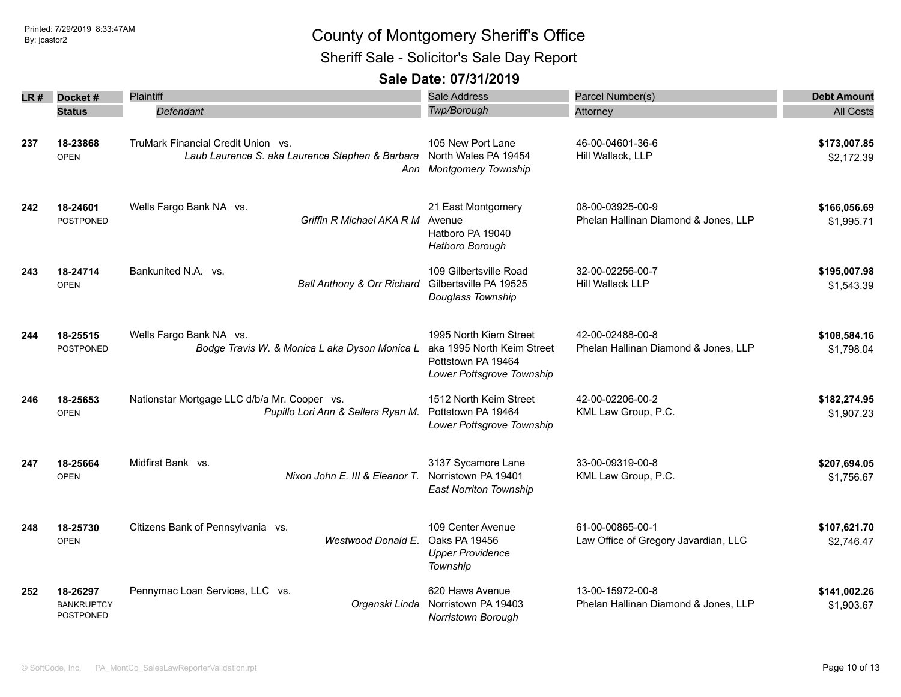Sheriff Sale - Solicitor's Sale Day Report

| LR # | Docket#                                    | Plaintiff                                                                             | Sale Address                                                                                            | Parcel Number(s)                                         | <b>Debt Amount</b>         |
|------|--------------------------------------------|---------------------------------------------------------------------------------------|---------------------------------------------------------------------------------------------------------|----------------------------------------------------------|----------------------------|
|      | <b>Status</b>                              | Defendant                                                                             | Twp/Borough                                                                                             | Attorney                                                 | <b>All Costs</b>           |
| 237  | 18-23868<br><b>OPEN</b>                    | TruMark Financial Credit Union vs.<br>Laub Laurence S. aka Laurence Stephen & Barbara | 105 New Port Lane<br>North Wales PA 19454<br>Ann Montgomery Township                                    | 46-00-04601-36-6<br>Hill Wallack, LLP                    | \$173,007.85<br>\$2,172.39 |
| 242  | 18-24601<br><b>POSTPONED</b>               | Wells Fargo Bank NA vs.<br>Griffin R Michael AKA R M                                  | 21 East Montgomery<br>Avenue<br>Hatboro PA 19040<br>Hatboro Borough                                     | 08-00-03925-00-9<br>Phelan Hallinan Diamond & Jones, LLP | \$166,056.69<br>\$1,995.71 |
| 243  | 18-24714<br><b>OPEN</b>                    | Bankunited N.A. vs.<br>Ball Anthony & Orr Richard                                     | 109 Gilbertsville Road<br>Gilbertsville PA 19525<br>Douglass Township                                   | 32-00-02256-00-7<br>Hill Wallack LLP                     | \$195,007.98<br>\$1,543.39 |
| 244  | 18-25515<br>POSTPONED                      | Wells Fargo Bank NA vs.<br>Bodge Travis W. & Monica L aka Dyson Monica L              | 1995 North Kiem Street<br>aka 1995 North Keim Street<br>Pottstown PA 19464<br>Lower Pottsgrove Township | 42-00-02488-00-8<br>Phelan Hallinan Diamond & Jones, LLP | \$108,584.16<br>\$1,798.04 |
| 246  | 18-25653<br><b>OPEN</b>                    | Nationstar Mortgage LLC d/b/a Mr. Cooper vs.<br>Pupillo Lori Ann & Sellers Ryan M.    | 1512 North Keim Street<br>Pottstown PA 19464<br>Lower Pottsgrove Township                               | 42-00-02206-00-2<br>KML Law Group, P.C.                  | \$182,274.95<br>\$1,907.23 |
| 247  | 18-25664<br><b>OPEN</b>                    | Midfirst Bank vs.<br>Nixon John E. III & Eleanor T.                                   | 3137 Sycamore Lane<br>Norristown PA 19401<br><b>East Norriton Township</b>                              | 33-00-09319-00-8<br>KML Law Group, P.C.                  | \$207,694.05<br>\$1,756.67 |
| 248  | 18-25730<br><b>OPEN</b>                    | Citizens Bank of Pennsylvania vs.<br><b>Westwood Donald E.</b>                        | 109 Center Avenue<br>Oaks PA 19456<br><b>Upper Providence</b><br>Township                               | 61-00-00865-00-1<br>Law Office of Gregory Javardian, LLC | \$107,621.70<br>\$2,746.47 |
| 252  | 18-26297<br><b>BANKRUPTCY</b><br>POSTPONED | Pennymac Loan Services, LLC vs.<br>Organski Linda                                     | 620 Haws Avenue<br>Norristown PA 19403<br>Norristown Borough                                            | 13-00-15972-00-8<br>Phelan Hallinan Diamond & Jones, LLP | \$141,002.26<br>\$1,903.67 |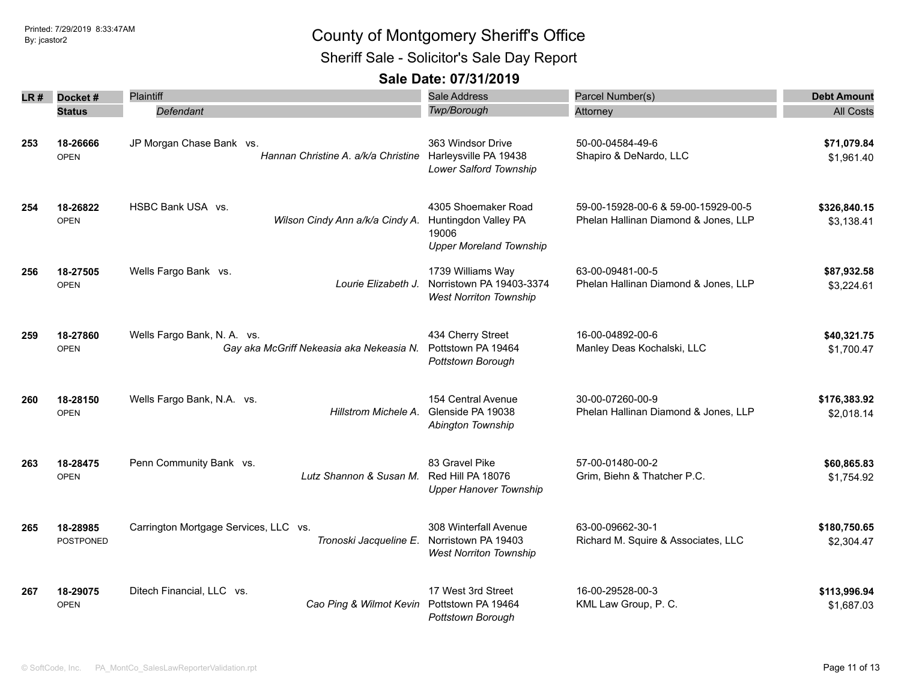Sheriff Sale - Solicitor's Sale Day Report

| LR # | Docket#                      | Plaintiff                                                               | <b>Sale Address</b>                                                                    | Parcel Number(s)                                                            | <b>Debt Amount</b>         |
|------|------------------------------|-------------------------------------------------------------------------|----------------------------------------------------------------------------------------|-----------------------------------------------------------------------------|----------------------------|
|      | <b>Status</b>                | Defendant                                                               | <b>Twp/Borough</b>                                                                     | Attorney                                                                    | <b>All Costs</b>           |
| 253  | 18-26666<br><b>OPEN</b>      | JP Morgan Chase Bank vs.<br>Hannan Christine A. a/k/a Christine         | 363 Windsor Drive<br>Harleysville PA 19438<br>Lower Salford Township                   | 50-00-04584-49-6<br>Shapiro & DeNardo, LLC                                  | \$71,079.84<br>\$1,961.40  |
| 254  | 18-26822<br><b>OPEN</b>      | HSBC Bank USA vs.<br>Wilson Cindy Ann a/k/a Cindy A.                    | 4305 Shoemaker Road<br>Huntingdon Valley PA<br>19006<br><b>Upper Moreland Township</b> | 59-00-15928-00-6 & 59-00-15929-00-5<br>Phelan Hallinan Diamond & Jones, LLP | \$326,840.15<br>\$3,138.41 |
| 256  | 18-27505<br><b>OPEN</b>      | Wells Fargo Bank vs.<br>Lourie Elizabeth J.                             | 1739 Williams Way<br>Norristown PA 19403-3374<br><b>West Norriton Township</b>         | 63-00-09481-00-5<br>Phelan Hallinan Diamond & Jones, LLP                    | \$87,932.58<br>\$3,224.61  |
| 259  | 18-27860<br><b>OPEN</b>      | Wells Fargo Bank, N. A. vs.<br>Gay aka McGriff Nekeasia aka Nekeasia N. | 434 Cherry Street<br>Pottstown PA 19464<br>Pottstown Borough                           | 16-00-04892-00-6<br>Manley Deas Kochalski, LLC                              | \$40,321.75<br>\$1,700.47  |
| 260  | 18-28150<br><b>OPEN</b>      | Wells Fargo Bank, N.A. vs.<br>Hillstrom Michele A.                      | 154 Central Avenue<br>Glenside PA 19038<br>Abington Township                           | 30-00-07260-00-9<br>Phelan Hallinan Diamond & Jones, LLP                    | \$176,383.92<br>\$2,018.14 |
| 263  | 18-28475<br><b>OPEN</b>      | Penn Community Bank vs.<br>Lutz Shannon & Susan M.                      | 83 Gravel Pike<br>Red Hill PA 18076<br><b>Upper Hanover Township</b>                   | 57-00-01480-00-2<br>Grim, Biehn & Thatcher P.C.                             | \$60,865.83<br>\$1,754.92  |
| 265  | 18-28985<br><b>POSTPONED</b> | Carrington Mortgage Services, LLC vs.<br>Tronoski Jacqueline E.         | 308 Winterfall Avenue<br>Norristown PA 19403<br><b>West Norriton Township</b>          | 63-00-09662-30-1<br>Richard M. Squire & Associates, LLC                     | \$180,750.65<br>\$2,304.47 |
| 267  | 18-29075<br><b>OPEN</b>      | Ditech Financial, LLC vs.<br>Cao Ping & Wilmot Kevin                    | 17 West 3rd Street<br>Pottstown PA 19464<br>Pottstown Borough                          | 16-00-29528-00-3<br>KML Law Group, P. C.                                    | \$113,996.94<br>\$1,687.03 |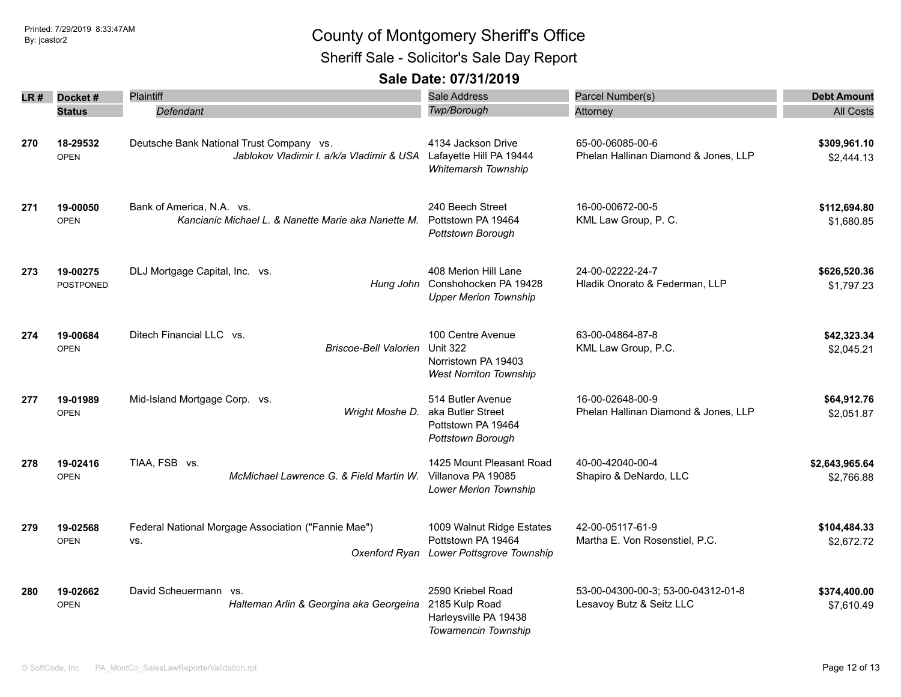Sheriff Sale - Solicitor's Sale Day Report

| LR# | Docket#                      | <b>Plaintiff</b>                                                                                              | Sale Address                                                                                 | Parcel Number(s)                                               | <b>Debt Amount</b>           |
|-----|------------------------------|---------------------------------------------------------------------------------------------------------------|----------------------------------------------------------------------------------------------|----------------------------------------------------------------|------------------------------|
|     | <b>Status</b>                | Defendant                                                                                                     | <b>Twp/Borough</b>                                                                           | Attorney                                                       | <b>All Costs</b>             |
| 270 | 18-29532<br><b>OPEN</b>      | Deutsche Bank National Trust Company vs.<br>Jablokov Vladimir I. a/k/a Vladimir & USA Lafayette Hill PA 19444 | 4134 Jackson Drive<br><b>Whitemarsh Township</b>                                             | 65-00-06085-00-6<br>Phelan Hallinan Diamond & Jones, LLP       | \$309,961.10<br>\$2,444.13   |
| 271 | 19-00050<br><b>OPEN</b>      | Bank of America, N.A. vs.<br>Kancianic Michael L. & Nanette Marie aka Nanette M.                              | 240 Beech Street<br>Pottstown PA 19464<br>Pottstown Borough                                  | 16-00-00672-00-5<br>KML Law Group, P. C.                       | \$112,694.80<br>\$1,680.85   |
| 273 | 19-00275<br><b>POSTPONED</b> | DLJ Mortgage Capital, Inc. vs.<br>Hung John                                                                   | 408 Merion Hill Lane<br>Conshohocken PA 19428<br><b>Upper Merion Township</b>                | 24-00-02222-24-7<br>Hladik Onorato & Federman, LLP             | \$626,520.36<br>\$1,797.23   |
| 274 | 19-00684<br><b>OPEN</b>      | Ditech Financial LLC vs.<br><b>Briscoe-Bell Valorien</b>                                                      | 100 Centre Avenue<br><b>Unit 322</b><br>Norristown PA 19403<br><b>West Norriton Township</b> | 63-00-04864-87-8<br>KML Law Group, P.C.                        | \$42,323.34<br>\$2,045.21    |
| 277 | 19-01989<br><b>OPEN</b>      | Mid-Island Mortgage Corp. vs.<br>Wright Moshe D.                                                              | 514 Butler Avenue<br>aka Butler Street<br>Pottstown PA 19464<br>Pottstown Borough            | 16-00-02648-00-9<br>Phelan Hallinan Diamond & Jones, LLP       | \$64,912.76<br>\$2,051.87    |
| 278 | 19-02416<br><b>OPEN</b>      | TIAA, FSB vs.<br>McMichael Lawrence G. & Field Martin W.                                                      | 1425 Mount Pleasant Road<br>Villanova PA 19085<br>Lower Merion Township                      | 40-00-42040-00-4<br>Shapiro & DeNardo, LLC                     | \$2,643,965.64<br>\$2,766.88 |
| 279 | 19-02568<br><b>OPEN</b>      | Federal National Morgage Association ("Fannie Mae")<br>VS.<br>Oxenford Ryan                                   | 1009 Walnut Ridge Estates<br>Pottstown PA 19464<br>Lower Pottsgrove Township                 | 42-00-05117-61-9<br>Martha E. Von Rosenstiel, P.C.             | \$104,484.33<br>\$2,672.72   |
| 280 | 19-02662<br><b>OPEN</b>      | David Scheuermann vs.<br>Halteman Arlin & Georgina aka Georgeina                                              | 2590 Kriebel Road<br>2185 Kulp Road<br>Harleysville PA 19438<br>Towamencin Township          | 53-00-04300-00-3; 53-00-04312-01-8<br>Lesavoy Butz & Seitz LLC | \$374,400.00<br>\$7,610.49   |